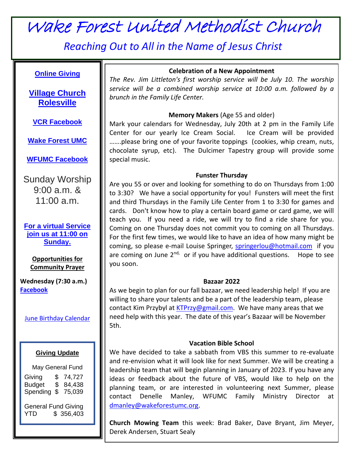# Wake Forest United Methodist Church

*Reaching Out to All in the Name of Jesus Christ*

# **[Online](https://www.eservicepayments.com/cgi-bin/Vanco_ver3.vps?appver3=HLv5OW77ktwW7DehGumoQb2RohPRTEgXJ8Kg_QY55gDUaSGS1Xmpxj6VcqB4vWjErhdHnXAIfZyhn2oZ9k0Pdh4L0Y-nnUZmKD6FPgc8sGWzIROayzTjyn6KprThsS8X7lJJSrjZLN8nmqVpU-QSLxHP6JYLLDNdxL5VCCt8_wGe-YpP0AKjCbPmnDfIAmLnYYpmRgLjbh_1se5KFPRqZQ==&ver=3) Giving**

**Village [Church](https://www.vcrolesville.org/) [Rolesville](https://www.vcrolesville.org/)**

**[VCR Facebook](https://www.facebook.com/vcrolesville/)**

**Wake [Forest](http://www.wakeforestumc.org/) UMC**

**WFUMC [Facebook](https://www.facebook.com/wakeforestumc/)**

Sunday Worship 9:00 a.m. & 11:00 a.m.

**[For a virtual Service](https://www.facebook.com/pg/wakeforestumc/posts/?ref=page_internal)  [join us at 11:00](https://www.facebook.com/pg/wakeforestumc/posts/?ref=page_internal) on [Sunday.](https://www.facebook.com/pg/wakeforestumc/posts/?ref=page_internal)**

**Opportunities for Community Prayer**

**Wednesday (7:30 a.m.) [Facebook](http://www.facebook.com/wakeforestumc)**

June [Birthday Calendar](https://wakeforestumc.sharepoint.com/:b:/g/office/ES8ja_fN4GlFlDK4kMgIDicBVcOwGsf2KKe2glzMveCY0w)

### **Giving Update**

| May General Fund                                      |                      |                            |
|-------------------------------------------------------|----------------------|----------------------------|
| Giving<br><b>Budget</b><br>Spending \$                | \$<br>$\mathfrak{S}$ | 74,727<br>84,438<br>75,039 |
| <b>General Fund Giving</b><br>\$356,403<br><b>YTD</b> |                      |                            |

### **Celebration of a New Appointment**

*The Rev. Jim Littleton's first worship service will be July 10. The worship service will be a combined worship service at 10:00 a.m. followed by a brunch in the Family Life Center.* 

### **Memory Makers** (Age 55 and older)

Mark your calendars for Wednesday, July 20th at 2 pm in the Family Life Center for our yearly Ice Cream Social. Ice Cream will be provided …….please bring one of your favorite toppings (cookies, whip cream, nuts, chocolate syrup, etc). The Dulcimer Tapestry group will provide some special music.

#### **Funster Thursday**

Are you 55 or over and looking for something to do on Thursdays from 1:00 to 3:30? We have a social opportunity for you! Funsters will meet the first and third Thursdays in the Family Life Center from 1 to 3:30 for games and cards. Don't know how to play a certain board game or card game, we will teach you. If you need a ride, we will try to find a ride share for you. Coming on one Thursday does not commit you to coming on all Thursdays. For the first few times, we would like to have an idea of how many might be coming, so please e-mail Louise Springer, [springerlou@hotmail.com](mailto:springerlou@hotmail.com) if you are coming on June 2<sup>nd,</sup> or if you have additional questions. Hope to see you soon.

#### **Bazaar 2022**

As we begin to plan for our fall bazaar, we need leadership help! If you are willing to share your talents and be a part of the leadership team, please contact Kim Przybyl at [KTPrzy@gmail.com.](mailto:KTPrzy@gmail.com) We have many areas that we need help with this year. The date of this year's Bazaar will be November 5th.

### **Vacation Bible School**

We have decided to take a sabbath from VBS this summer to re-evaluate and re-envision what it will look like for next Summer. We will be creating a leadership team that will begin planning in January of 2023. If you have any ideas or feedback about the future of VBS, would like to help on the planning team, or are interested in volunteering next Summer, please contact Denelle Manley, WFUMC Family Ministry Director at [dmanley@wakeforestumc.org.](mailto:dmanley@wakeforestumc.org)

**Church Mowing Team** this week: Brad Baker, Dave Bryant, Jim Meyer, Derek Andersen, Stuart Sealy